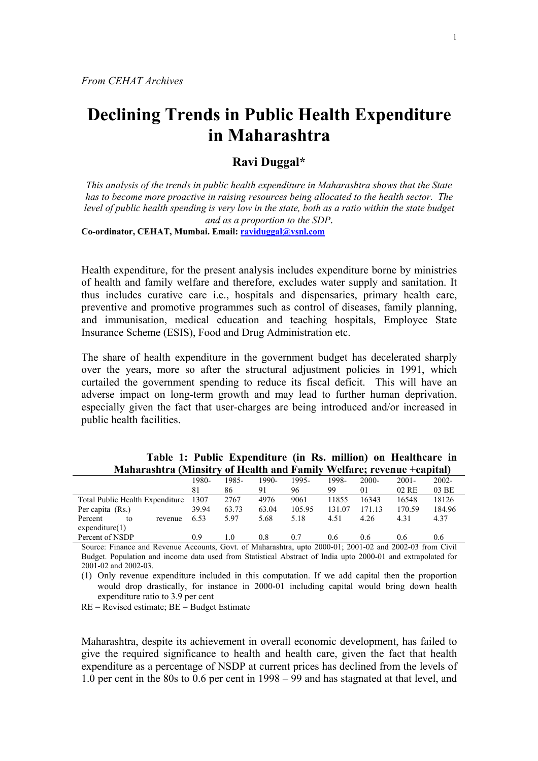# **Declining Trends in Public Health Expenditure in Maharashtra**

# **Ravi Duggal\***

*This analysis of the trends in public health expenditure in Maharashtra shows that the State has to become more proactive in raising resources being allocated to the health sector. The*  level of public health spending is very low in the state, both as a ratio within the state budget *and as a proportion to the SDP*.

**Co-ordinator, CEHAT, Mumbai. Email: [raviduggal@vsnl.com](mailto:raviduggal@vsnl.com)**

Health expenditure, for the present analysis includes expenditure borne by ministries of health and family welfare and therefore, excludes water supply and sanitation. It thus includes curative care i.e., hospitals and dispensaries, primary health care, preventive and promotive programmes such as control of diseases, family planning, and immunisation, medical education and teaching hospitals, Employee State Insurance Scheme (ESIS), Food and Drug Administration etc.

The share of health expenditure in the government budget has decelerated sharply over the years, more so after the structural adjustment policies in 1991, which curtailed the government spending to reduce its fiscal deficit. This will have an adverse impact on long-term growth and may lead to further human deprivation, especially given the fact that user-charges are being introduced and/or increased in public health facilities.

|                                 | 1980- | 1985- | 1990- | 1995-  | 1998-  | $2000 -$       | $2001 -$ | $2002 -$ |
|---------------------------------|-------|-------|-------|--------|--------|----------------|----------|----------|
|                                 | 81    | 86    | 91    | 96     | 99     | 0 <sub>1</sub> | $02$ RE  | 03 BE    |
| Total Public Health Expenditure | 1307  | 2767  | 4976  | 9061   | 11855  | 16343          | 16548    | 18126    |
| Per capita (Rs.)                | 39.94 | 63.73 | 63.04 | 105.95 | 131 07 | 171 13         | 170.59   | 184.96   |
| Percent<br>revenue<br>to        | 6.53  | 5.97  | 5.68  | 5.18   | 4.51   | 4.26           | 4.31     | 4.37     |
| expenditure(1)                  |       |       |       |        |        |                |          |          |
| Percent of NSDP                 | 0.9   | 1.0   | 0.8   | 0.7    | 0.6    | 0.6            | 0.6      | 0.6      |

**Table 1: Public Expenditure (in Rs. million) on Healthcare in Maharashtra (Minsitry of Health and Family Welfare; revenue +capital)** 

Source: Finance and Revenue Accounts, Govt. of Maharashtra, upto 2000-01; 2001-02 and 2002-03 from Civil Budget. Population and income data used from Statistical Abstract of India upto 2000-01 and extrapolated for 2001-02 and 2002-03.

(1) Only revenue expenditure included in this computation. If we add capital then the proportion would drop drastically, for instance in 2000-01 including capital would bring down health expenditure ratio to 3.9 per cent

 $RE = \text{Revised estimate}$ ;  $BE = \text{Budget Estimate}$ 

Maharashtra, despite its achievement in overall economic development, has failed to give the required significance to health and health care, given the fact that health expenditure as a percentage of NSDP at current prices has declined from the levels of 1.0 per cent in the 80s to 0.6 per cent in 1998 – 99 and has stagnated at that level, and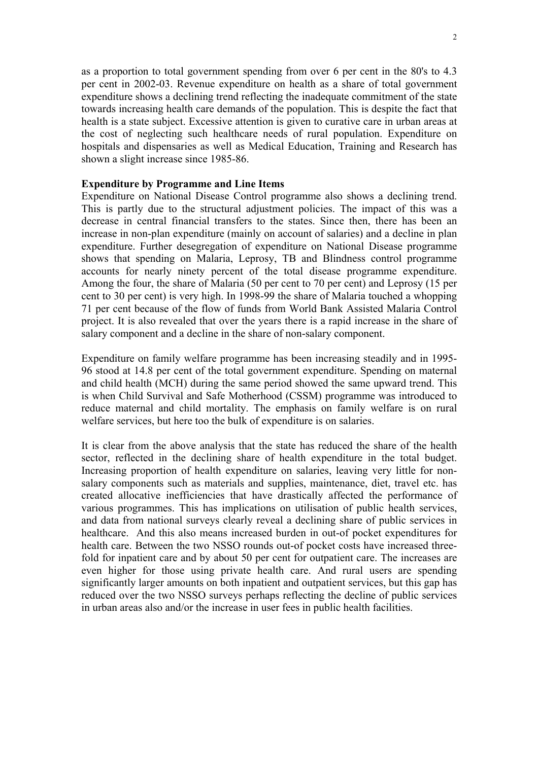as a proportion to total government spending from over 6 per cent in the 80's to 4.3 per cent in 2002-03. Revenue expenditure on health as a share of total government expenditure shows a declining trend reflecting the inadequate commitment of the state towards increasing health care demands of the population. This is despite the fact that health is a state subject. Excessive attention is given to curative care in urban areas at the cost of neglecting such healthcare needs of rural population. Expenditure on hospitals and dispensaries as well as Medical Education, Training and Research has shown a slight increase since 1985-86.

## **Expenditure by Programme and Line Items**

Expenditure on National Disease Control programme also shows a declining trend. This is partly due to the structural adjustment policies. The impact of this was a decrease in central financial transfers to the states. Since then, there has been an increase in non-plan expenditure (mainly on account of salaries) and a decline in plan expenditure. Further desegregation of expenditure on National Disease programme shows that spending on Malaria, Leprosy, TB and Blindness control programme accounts for nearly ninety percent of the total disease programme expenditure. Among the four, the share of Malaria (50 per cent to 70 per cent) and Leprosy (15 per cent to 30 per cent) is very high. In 1998-99 the share of Malaria touched a whopping 71 per cent because of the flow of funds from World Bank Assisted Malaria Control project. It is also revealed that over the years there is a rapid increase in the share of salary component and a decline in the share of non-salary component.

Expenditure on family welfare programme has been increasing steadily and in 1995- 96 stood at 14.8 per cent of the total government expenditure. Spending on maternal and child health (MCH) during the same period showed the same upward trend. This is when Child Survival and Safe Motherhood (CSSM) programme was introduced to reduce maternal and child mortality. The emphasis on family welfare is on rural welfare services, but here too the bulk of expenditure is on salaries.

It is clear from the above analysis that the state has reduced the share of the health sector, reflected in the declining share of health expenditure in the total budget. Increasing proportion of health expenditure on salaries, leaving very little for nonsalary components such as materials and supplies, maintenance, diet, travel etc. has created allocative inefficiencies that have drastically affected the performance of various programmes. This has implications on utilisation of public health services, and data from national surveys clearly reveal a declining share of public services in healthcare. And this also means increased burden in out-of pocket expenditures for health care. Between the two NSSO rounds out-of pocket costs have increased threefold for inpatient care and by about 50 per cent for outpatient care. The increases are even higher for those using private health care. And rural users are spending significantly larger amounts on both inpatient and outpatient services, but this gap has reduced over the two NSSO surveys perhaps reflecting the decline of public services in urban areas also and/or the increase in user fees in public health facilities.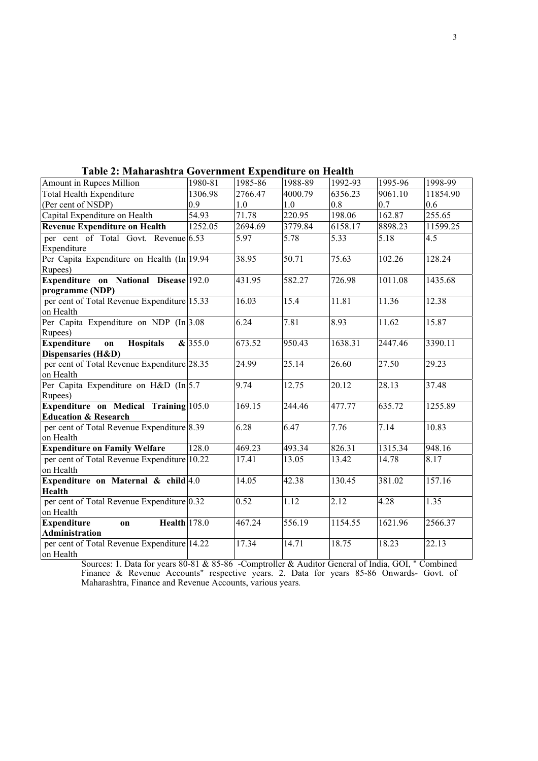| Amount in Rupees Million                                                 | 1980-81 | 1985-86 | 1988-89 | 1992-93 | 1995-96 | 1998-99  |
|--------------------------------------------------------------------------|---------|---------|---------|---------|---------|----------|
| <b>Total Health Expenditure</b>                                          | 1306.98 | 2766.47 | 4000.79 | 6356.23 | 9061.10 | 11854.90 |
| (Per cent of NSDP)                                                       | 0.9     | 1.0     | 1.0     | 0.8     | 0.7     | 0.6      |
| Capital Expenditure on Health                                            | 54.93   | 71.78   | 220.95  | 198.06  | 162.87  | 255.65   |
| <b>Revenue Expenditure on Health</b>                                     | 1252.05 | 2694.69 | 3779.84 | 6158.17 | 8898.23 | 11599.25 |
| per cent of Total Govt. Revenue 6.53<br>Expenditure                      |         | 5.97    | 5.78    | 5.33    | 5.18    | 4.5      |
| Per Capita Expenditure on Health (In 19.94<br>Rupees)                    |         | 38.95   | 50.71   | 75.63   | 102.26  | 128.24   |
| Expenditure on National Disease 192.0<br>programme (NDP)                 |         | 431.95  | 582.27  | 726.98  | 1011.08 | 1435.68  |
| per cent of Total Revenue Expenditure 15.33<br>on Health                 |         | 16.03   | 15.4    | 11.81   | 11.36   | 12.38    |
| Per Capita Expenditure on NDP (In 3.08<br>Rupees)                        |         | 6.24    | 7.81    | 8.93    | 11.62   | 15.87    |
| <b>Expenditure</b><br><b>Hospitals</b><br>on                             | &355.0  | 673.52  | 950.43  | 1638.31 | 2447.46 | 3390.11  |
| Dispensaries (H&D)                                                       |         |         |         |         |         |          |
| per cent of Total Revenue Expenditure 28.35<br>on Health                 |         | 24.99   | 25.14   | 26.60   | 27.50   | 29.23    |
| Per Capita Expenditure on H&D (In 5.7<br>Rupees)                         |         | 9.74    | 12.75   | 20.12   | 28.13   | 37.48    |
| Expenditure on Medical Training 105.0<br><b>Education &amp; Research</b> |         | 169.15  | 244.46  | 477.77  | 635.72  | 1255.89  |
| per cent of Total Revenue Expenditure 8.39<br>on Health                  |         | 6.28    | 6.47    | 7.76    | 7.14    | 10.83    |
| <b>Expenditure on Family Welfare</b>                                     | 128.0   | 469.23  | 493.34  | 826.31  | 1315.34 | 948.16   |
| per cent of Total Revenue Expenditure 10.22<br>on Health                 |         | 17.41   | 13.05   | 13.42   | 14.78   | 8.17     |
| Expenditure on Maternal $\&$ child $4.0$<br><b>Health</b>                |         | 14.05   | 42.38   | 130.45  | 381.02  | 157.16   |
| per cent of Total Revenue Expenditure 0.32<br>on Health                  |         | 0.52    | 1.12    | 2.12    | 4.28    | 1.35     |
| <b>Expenditure</b><br><b>Health</b> 178.0<br>on                          |         | 467.24  | 556.19  | 1154.55 | 1621.96 | 2566.37  |
| Administration                                                           |         |         |         |         |         |          |
| per cent of Total Revenue Expenditure 14.22<br>on Health                 |         | 17.34   | 14.71   | 18.75   | 18.23   | 22.13    |

### **Table 2: Maharashtra Government Expenditure on Health**

Sources: 1. Data for years 80-81 & 85-86 -Comptroller & Auditor General of India, GOI, " Combined Finance & Revenue Accounts" respective years. 2. Data for years 85-86 Onwards- Govt. of Maharashtra, Finance and Revenue Accounts, various years.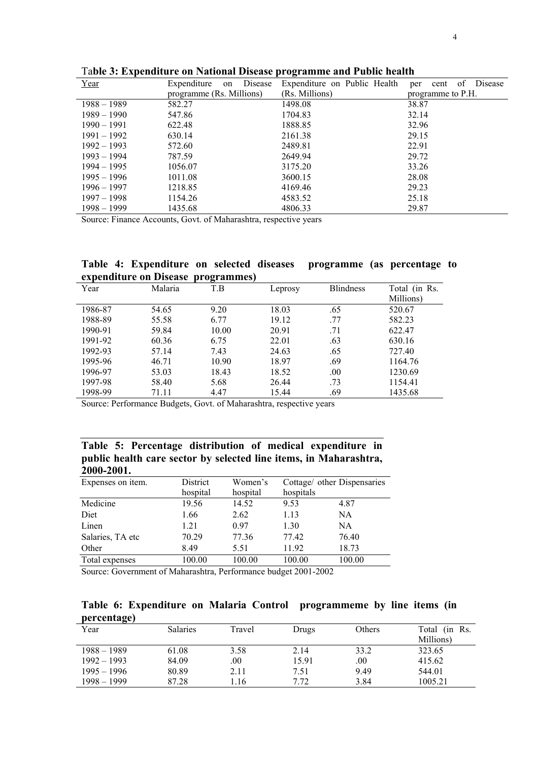| Year          | Disease<br>Expenditure<br>on | Expenditure on Public Health | Disease<br>of<br>cent<br>per |
|---------------|------------------------------|------------------------------|------------------------------|
|               | programme (Rs. Millions)     | (Rs. Millions)               | programme to P.H.            |
| $1988 - 1989$ | 582.27                       | 1498.08                      | 38.87                        |
| $1989 - 1990$ | 547.86                       | 1704.83                      | 32.14                        |
| $1990 - 1991$ | 622.48                       | 1888.85                      | 32.96                        |
| $1991 - 1992$ | 630.14                       | 2161.38                      | 29.15                        |
| $1992 - 1993$ | 572.60                       | 2489.81                      | 22.91                        |
| $1993 - 1994$ | 787.59                       | 2649.94                      | 29.72                        |
| $1994 - 1995$ | 1056.07                      | 3175.20                      | 33.26                        |
| $1995 - 1996$ | 1011.08                      | 3600.15                      | 28.08                        |
| $1996 - 1997$ | 1218.85                      | 4169.46                      | 29.23                        |
| $1997 - 1998$ | 1154.26                      | 4583.52                      | 25.18                        |
| 1998 - 1999   | 1435.68                      | 4806.33                      | 29.87                        |

Ta**ble 3: Expenditure on National Disease programme and Public health** 

Source: Finance Accounts, Govt. of Maharashtra, respective years

## **Table 4: Expenditure on selected diseases programme (as percentage to expenditure on Disease programmes)**

|         |         | .     |         |                  |                            |
|---------|---------|-------|---------|------------------|----------------------------|
| Year    | Malaria | T.B   | Leprosy | <b>Blindness</b> | Total (in Rs.<br>Millions) |
| 1986-87 | 54.65   | 9.20  | 18.03   | .65              | 520.67                     |
| 1988-89 | 55.58   | 6.77  | 19.12   | .77              | 582.23                     |
| 1990-91 | 59.84   | 10.00 | 20.91   | .71              | 622.47                     |
| 1991-92 | 60.36   | 6.75  | 22.01   | .63              | 630.16                     |
| 1992-93 | 57.14   | 7.43  | 24.63   | .65              | 727.40                     |
| 1995-96 | 46.71   | 10.90 | 18.97   | .69              | 1164.76                    |
| 1996-97 | 53.03   | 18.43 | 18.52   | .00.             | 1230.69                    |
| 1997-98 | 58.40   | 5.68  | 26.44   | .73              | 1154.41                    |
| 1998-99 | 71.11   | 4.47  | 15.44   | .69              | 1435.68                    |

Source: Performance Budgets, Govt. of Maharashtra, respective years

# **Table 5: Percentage distribution of medical expenditure in public health care sector by selected line items, in Maharashtra, 2000-2001.**

| Expenses on item. | District          | Women's              |                                                  | Cottage/ other Dispensaries |
|-------------------|-------------------|----------------------|--------------------------------------------------|-----------------------------|
|                   | hospital          | hospital             | hospitals                                        |                             |
| Medicine          | 19.56             | 14.52                | 9.53                                             | 4.87                        |
| Diet              | 1.66              | 2.62                 | 1.13                                             | NA                          |
| Linen             | 1.21              | 0.97                 | 1.30                                             | NA.                         |
| Salaries, TA etc  | 70.29             | 77.36                | 77.42                                            | 76.40                       |
| Other             | 8.49              | 5.51                 | 11.92                                            | 18.73                       |
| Total expenses    | 100.00            | 100.00               | 100.00                                           | 100.00                      |
| $\sim$ $\sim$     | $\cdots$ $\cdots$ | $\sim$ $\sim$ $\sim$ | $\sim$ $\sim$ $\sim$ $\sim$ $\sim$ $\sim$ $\sim$ |                             |

Source: Government of Maharashtra, Performance budget 2001-2002

**Table 6: Expenditure on Malaria Control programmeme by line items (in percentage)** 

| .<br>$-1$     |                 |        |       |        |               |
|---------------|-----------------|--------|-------|--------|---------------|
| Year          | <b>Salaries</b> | Travel | Drugs | Others | Total (in Rs. |
|               |                 |        |       |        | Millions)     |
| $1988 - 1989$ | 61.08           | 3.58   | 2.14  | 33.2   | 323.65        |
| $1992 - 1993$ | 84.09           | .00    | 15.91 | 00.    | 415.62        |
| $1995 - 1996$ | 80.89           | 2.11   | 7.51  | 9.49   | 544.01        |
| $1998 - 1999$ | 87.28           | .16    | 7.72  | 3.84   | 1005.21       |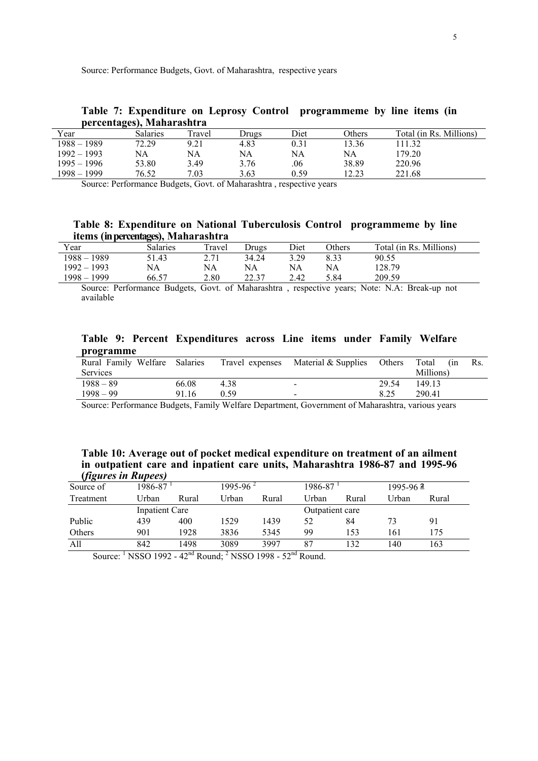Source: Performance Budgets, Govt. of Maharashtra, respective years

| per centages), ivianai asnu a |          |        |       |      |        |                         |  |  |
|-------------------------------|----------|--------|-------|------|--------|-------------------------|--|--|
| Year                          | Salaries | Travel | Drugs | Diet | Others | Total (in Rs. Millions) |  |  |
| $1988 - 1989$                 | 72.29    | 9.21   | 4.83  |      | 13.36  | 111.32                  |  |  |
| $1992 - 1993$                 | NA       | NA     | NA    | NA   | NA     | 179.20                  |  |  |
| $1995 - 1996$                 | 53.80    | 3.49   | 3.76  | .06  | 38.89  | 220.96                  |  |  |
| 1998 – 1999                   | 76.52    | 7.03   | 3.63  | 0.59 | 12.23  | 221.68                  |  |  |

## **Table 7: Expenditure on Leprosy Control programmeme by line items (in percentages), Maharashtra**

Source: Performance Budgets, Govt. of Maharashtra , respective years

# **Table 8: Expenditure on National Tuberculosis Control programmeme by line items (in percentages), Maharashtra**

| Year             | <b>Salaries</b> | Travel                      | Drugs          | Diet | <b>Others</b> | Total (in Rs. Millions) |
|------------------|-----------------|-----------------------------|----------------|------|---------------|-------------------------|
| $1988 - 1989$    | 51.43           | C 71<br>$\sim$ . $\prime$ 1 | 34.24          | 3.29 | 8.33          | 90.55                   |
| $1992 - 1993$    | NΑ              | NA                          | NA             | NA   | NA            | 128.79                  |
| 1999<br>$1998 -$ | 66.57           | 2.80                        | 22.7<br>ر. ے ک | 2.42 | 5.84          | 209.59                  |

Source: Performance Budgets, Govt. of Maharashtra , respective years; Note: N.A: Break-up not available

|           |  | Table 9: Percent Expenditures across Line items under Family Welfare |  |  |  |
|-----------|--|----------------------------------------------------------------------|--|--|--|
| programme |  |                                                                      |  |  |  |

| Rural Family Welfare | Salaries | Travel expenses | Material & Supplies      | Others | Total<br>(in | Rs. |
|----------------------|----------|-----------------|--------------------------|--------|--------------|-----|
| <b>Services</b>      |          |                 |                          |        | Millions)    |     |
| $1988 - 89$          | 66.08    | 4.38            | $\overline{\phantom{0}}$ | 29.54  | 149.13       |     |
| $1998 - 99$          | 91.16    | በ 59            | $\sim$                   | 8.25   | 290.41       |     |

Source: Performance Budgets, Family Welfare Department, Government of Maharashtra, various years

| Table 10: Average out of pocket medical expenditure on treatment of an ailment |  |  |  |
|--------------------------------------------------------------------------------|--|--|--|
| in outpatient care and inpatient care units, Maharashtra 1986-87 and 1995-96   |  |  |  |
| <i>(figures in Rupees)</i>                                                     |  |  |  |

| $V \cap T$ |                |       |                      |       |                 |       |              |       |
|------------|----------------|-------|----------------------|-------|-----------------|-------|--------------|-------|
| Source of  | 1986-87        |       | 1995-96 <sup>2</sup> |       | 1986-87         |       | $1995 - 962$ |       |
| Treatment  | Urban          | Rural | Urban                | Rural | Hrban!          | Rural | Urban        | Rural |
|            | Inpatient Care |       |                      |       | Outpatient care |       |              |       |
| Public     | 439            | 400   | 1529                 | 1439  | 52              | 84    | 73           | 91    |
| Others     | 901            | 1928  | 3836                 | 5345  | 99              | 153   | 161          | 175   |
| All        | 842            | 1498  | 3089                 | 3997  | 87              | 132   | 140          | 163   |

Source: <sup>1</sup> NSSO 1992 - 42<sup>nd</sup> Round; <sup>2</sup> NSSO 1998 - 52<sup>nd</sup> Round.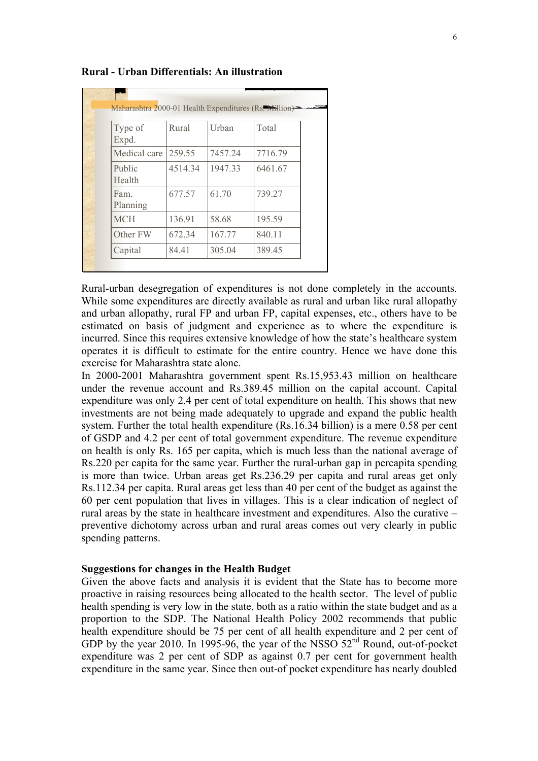| Type of                                               | Rural   | Urban   | Total   |
|-------------------------------------------------------|---------|---------|---------|
| Expd.                                                 |         |         |         |
| Medical care                                          | 259.55  | 7457.24 | 7716.79 |
| Public<br>Health                                      | 4514.34 | 1947.33 | 6461.67 |
| Fam.<br>Planning<br><b>MCH</b><br>Other FW<br>Capital | 677.57  | 61.70   | 739.27  |
|                                                       | 136.91  | 58.68   | 195.59  |
|                                                       | 672.34  | 167.77  | 840.11  |
|                                                       | 84.41   | 305.04  | 389.45  |

#### **Rural - Urban Differentials: An illustration**

Rural-urban desegregation of expenditures is not done completely in the accounts. While some expenditures are directly available as rural and urban like rural allopathy and urban allopathy, rural FP and urban FP, capital expenses, etc., others have to be estimated on basis of judgment and experience as to where the expenditure is incurred. Since this requires extensive knowledge of how the state's healthcare system operates it is difficult to estimate for the entire country. Hence we have done this exercise for Maharashtra state alone.

In 2000-2001 Maharashtra government spent Rs.15,953.43 million on healthcare under the revenue account and Rs.389.45 million on the capital account. Capital expenditure was only 2.4 per cent of total expenditure on health. This shows that new investments are not being made adequately to upgrade and expand the public health system. Further the total health expenditure (Rs.16.34 billion) is a mere 0.58 per cent of GSDP and 4.2 per cent of total government expenditure. The revenue expenditure on health is only Rs. 165 per capita, which is much less than the national average of Rs.220 per capita for the same year. Further the rural-urban gap in percapita spending is more than twice. Urban areas get Rs.236.29 per capita and rural areas get only Rs.112.34 per capita. Rural areas get less than 40 per cent of the budget as against the 60 per cent population that lives in villages. This is a clear indication of neglect of rural areas by the state in healthcare investment and expenditures. Also the curative – preventive dichotomy across urban and rural areas comes out very clearly in public spending patterns.

## **Suggestions for changes in the Health Budget**

Given the above facts and analysis it is evident that the State has to become more proactive in raising resources being allocated to the health sector. The level of public health spending is very low in the state, both as a ratio within the state budget and as a proportion to the SDP. The National Health Policy 2002 recommends that public health expenditure should be 75 per cent of all health expenditure and 2 per cent of GDP by the year 2010. In 1995-96, the year of the NSSO  $52<sup>nd</sup>$  Round, out-of-pocket expenditure was 2 per cent of SDP as against 0.7 per cent for government health expenditure in the same year. Since then out-of pocket expenditure has nearly doubled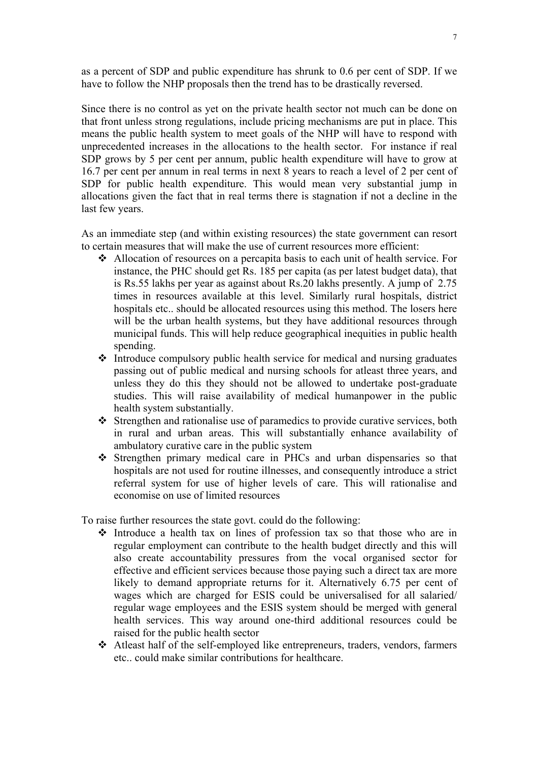as a percent of SDP and public expenditure has shrunk to 0.6 per cent of SDP. If we have to follow the NHP proposals then the trend has to be drastically reversed.

Since there is no control as yet on the private health sector not much can be done on that front unless strong regulations, include pricing mechanisms are put in place. This means the public health system to meet goals of the NHP will have to respond with unprecedented increases in the allocations to the health sector. For instance if real SDP grows by 5 per cent per annum, public health expenditure will have to grow at 16.7 per cent per annum in real terms in next 8 years to reach a level of 2 per cent of SDP for public health expenditure. This would mean very substantial jump in allocations given the fact that in real terms there is stagnation if not a decline in the last few years.

As an immediate step (and within existing resources) the state government can resort to certain measures that will make the use of current resources more efficient:

- Allocation of resources on a percapita basis to each unit of health service. For instance, the PHC should get Rs. 185 per capita (as per latest budget data), that is Rs.55 lakhs per year as against about Rs.20 lakhs presently. A jump of 2.75 times in resources available at this level. Similarly rural hospitals, district hospitals etc.. should be allocated resources using this method. The losers here will be the urban health systems, but they have additional resources through municipal funds. This will help reduce geographical inequities in public health spending.
- $\triangle$  Introduce compulsory public health service for medical and nursing graduates passing out of public medical and nursing schools for atleast three years, and unless they do this they should not be allowed to undertake post-graduate studies. This will raise availability of medical humanpower in the public health system substantially.
- Strengthen and rationalise use of paramedics to provide curative services, both in rural and urban areas. This will substantially enhance availability of ambulatory curative care in the public system
- Strengthen primary medical care in PHCs and urban dispensaries so that hospitals are not used for routine illnesses, and consequently introduce a strict referral system for use of higher levels of care. This will rationalise and economise on use of limited resources

To raise further resources the state govt. could do the following:

- $\triangleleft$  Introduce a health tax on lines of profession tax so that those who are in regular employment can contribute to the health budget directly and this will also create accountability pressures from the vocal organised sector for effective and efficient services because those paying such a direct tax are more likely to demand appropriate returns for it. Alternatively 6.75 per cent of wages which are charged for ESIS could be universalised for all salaried/ regular wage employees and the ESIS system should be merged with general health services. This way around one-third additional resources could be raised for the public health sector
- Atleast half of the self-employed like entrepreneurs, traders, vendors, farmers etc.. could make similar contributions for healthcare.